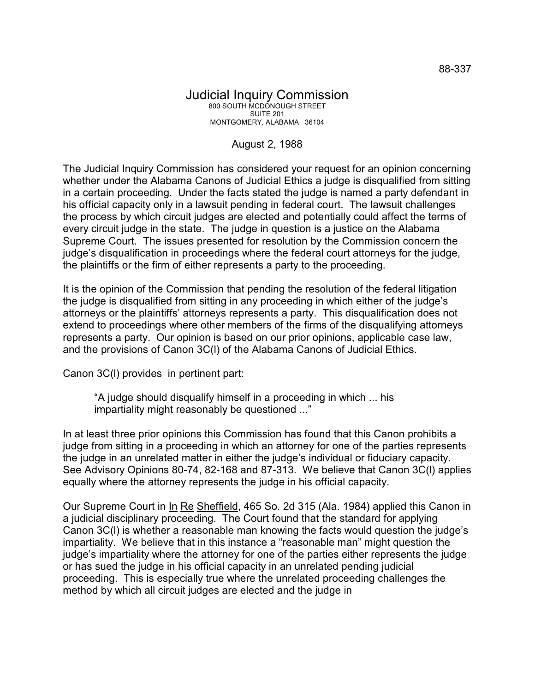## Judicial Inquiry Commission 800 SOUTH MCDONOUGH STREET SUITE 201 MONTGOMERY, ALABAMA 36104

## August 2, 1988

The Judicial Inquiry Commission has considered your request for an opinion concerning whether under the Alabama Canons of Judicial Ethics a judge is disqualified from sitting in a certain proceeding. Under the facts stated the judge is named a party defendant in his official capacity only in a lawsuit pending in federal court. The lawsuit challenges the process by which circuit judges are elected and potentially could affect the terms of every circuit judge in the state. The judge in question is a justice on the Alabama Supreme Court. The issues presented for resolution by the Commission concern the judge's disqualification in proceedings where the federal court attorneys for the judge, the plaintiffs or the firm of either represents a party to the proceeding.

It is the opinion of the Commission that pending the resolution of the federal litigation the judge is disqualified from sitting in any proceeding in which either of the judge's attorneys or the plaintiffs' attorneys represents a party. This disqualification does not extend to proceedings where other members of the firms of the disqualifying attorneys represents a party. Our opinion is based on our prior opinions, applicable case law, and the provisions of Canon 3C(l) of the Alabama Canons of Judicial Ethics.

Canon 3C(l) provides in pertinent part:

"A judge should disqualify himself in a proceeding in which ... his impartiality might reasonably be questioned ..."

In at least three prior opinions this Commission has found that this Canon prohibits a judge from sitting in a proceeding in which an attorney for one of the parties represents the judge in an unrelated matter in either the judge's individual or fiduciary capacity. See Advisory Opinions 80-74, 82-168 and 87-313. We believe that Canon 3C(l) applies equally where the attorney represents the judge in his official capacity.

Our Supreme Court in In Re Sheffield, 465 So. 2d 315 (Ala. 1984) applied this Canon in a judicial disciplinary proceeding. The Court found that the standard for applying Canon 3C(l) is whether a reasonable man knowing the facts would question the judge's impartiality. We believe that in this instance a "reasonable man" might question the judge's impartiality where the attorney for one of the parties either represents the judge or has sued the judge in his official capacity in an unrelated pending judicial proceeding. This is especially true where the unrelated proceeding challenges the method by which all circuit judges are elected and the judge in